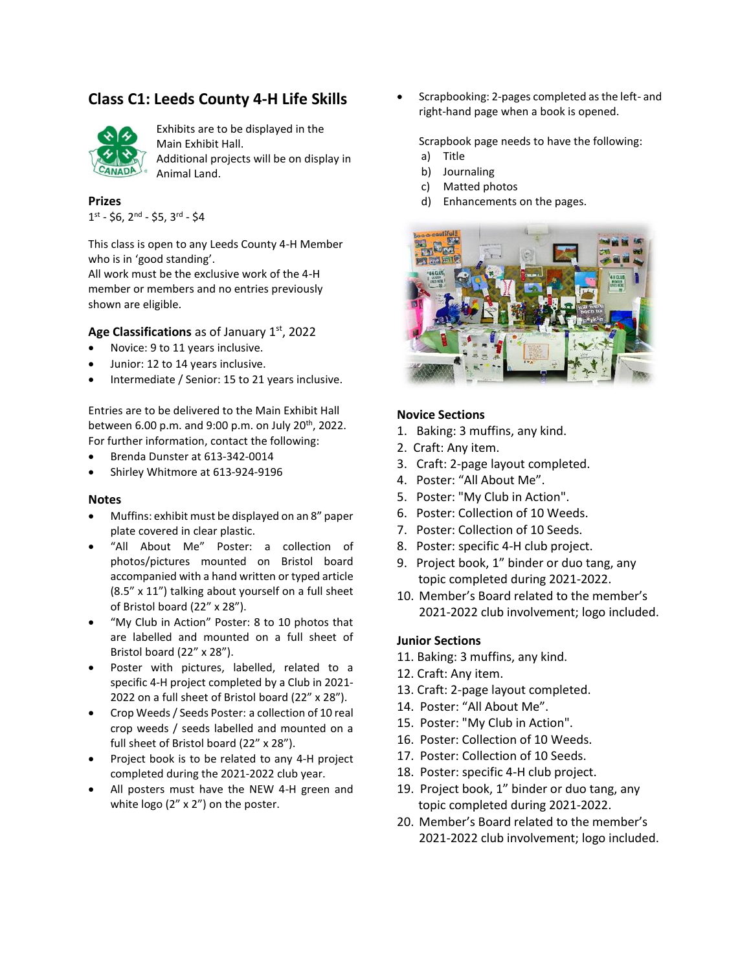# **Class C1: Leeds County 4-H Life Skills**



Exhibits are to be displayed in the Main Exhibit Hall. Additional projects will be on display in Animal Land.

**Prizes**

1<sup>st</sup> - \$6, 2<sup>nd</sup> - \$5, 3<sup>rd</sup> - \$4

This class is open to any Leeds County 4-H Member who is in 'good standing'.

All work must be the exclusive work of the 4-H member or members and no entries previously shown are eligible.

## Age Classifications as of January 1<sup>st</sup>, 2022

- Novice: 9 to 11 years inclusive.
- Junior: 12 to 14 years inclusive.
- Intermediate / Senior: 15 to 21 years inclusive.

Entries are to be delivered to the Main Exhibit Hall between 6.00 p.m. and 9:00 p.m. on July 20<sup>th</sup>, 2022. For further information, contact the following:

- Brenda Dunster at 613-342-0014
- Shirley Whitmore at 613-924-9196

#### **Notes**

- Muffins: exhibit must be displayed on an 8" paper plate covered in clear plastic.
- "All About Me" Poster: a collection of photos/pictures mounted on Bristol board accompanied with a hand written or typed article (8.5" x 11") talking about yourself on a full sheet of Bristol board (22" x 28").
- "My Club in Action" Poster: 8 to 10 photos that are labelled and mounted on a full sheet of Bristol board (22" x 28").
- Poster with pictures, labelled, related to a specific 4-H project completed by a Club in 2021- 2022 on a full sheet of Bristol board (22" x 28").
- Crop Weeds / Seeds Poster: a collection of 10 real crop weeds / seeds labelled and mounted on a full sheet of Bristol board (22" x 28").
- Project book is to be related to any 4-H project completed during the 2021-2022 club year.
- All posters must have the NEW 4-H green and white logo (2" x 2") on the poster.

• Scrapbooking: 2-pages completed as the left- and right-hand page when a book is opened.

Scrapbook page needs to have the following:

- a) Title
- b) Journaling
- c) Matted photos
- d) Enhancements on the pages.



## **Novice Sections**

- 1. Baking: 3 muffins, any kind.
- 2. Craft: Any item.
- 3. Craft: 2-page layout completed.
- 4. Poster: "All About Me".
- 5. Poster: "My Club in Action".
- 6. Poster: Collection of 10 Weeds.
- 7. Poster: Collection of 10 Seeds.
- 8. Poster: specific 4-H club project.
- 9. Project book, 1" binder or duo tang, any topic completed during 2021-2022.
- 10. Member's Board related to the member's 2021-2022 club involvement; logo included.

## **Junior Sections**

- 11. Baking: 3 muffins, any kind.
- 12. Craft: Any item.
- 13. Craft: 2-page layout completed.
- 14. Poster: "All About Me".
- 15. Poster: "My Club in Action".
- 16. Poster: Collection of 10 Weeds.
- 17. Poster: Collection of 10 Seeds.
- 18. Poster: specific 4-H club project.
- 19. Project book, 1" binder or duo tang, any topic completed during 2021-2022.
- 20. Member's Board related to the member's 2021-2022 club involvement; logo included.